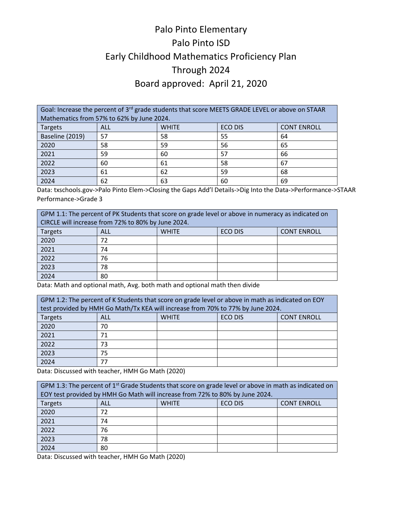## Palo Pinto Elementary Palo Pinto ISD Early Childhood Mathematics Proficiency Plan Through 2024 Board approved: April 21, 2020

Goal: Increase the percent of 3<sup>rd</sup> grade students that score MEETS GRADE LEVEL or above on STAAR Mathematics from 57% to 62% by June 2024. Targets | ALL | WHITE | ECO DIS | CONT ENROLL Baseline (2019) 57 58 55 64 2020 58 59 56 65 2021 59 60 57 66 2022 60 61 58 67 2023 61 62 59 68 2024 | 62 | 63 | 60 | 69

Data: txschools.gov->Palo Pinto Elem->Closing the Gaps Add'l Details->Dig Into the Data->Performance->STAAR Performance->Grade 3

| GPM 1.1: The percent of PK Students that score on grade level or above in numeracy as indicated on<br>CIRCLE will increase from 72% to 80% by June 2024. |                                                      |  |  |  |  |
|----------------------------------------------------------------------------------------------------------------------------------------------------------|------------------------------------------------------|--|--|--|--|
| Targets                                                                                                                                                  | ECO DIS<br><b>CONT ENROLL</b><br><b>WHITE</b><br>ALL |  |  |  |  |
| 2020                                                                                                                                                     | 72                                                   |  |  |  |  |
| 2021                                                                                                                                                     | 74                                                   |  |  |  |  |
| 2022                                                                                                                                                     | 76                                                   |  |  |  |  |
| 2023                                                                                                                                                     | 78                                                   |  |  |  |  |
| 2024                                                                                                                                                     | 80                                                   |  |  |  |  |

Data: Math and optional math, Avg. both math and optional math then divide

| GPM 1.2: The percent of K Students that score on grade level or above in math as indicated on EOY |            |              |                |                    |
|---------------------------------------------------------------------------------------------------|------------|--------------|----------------|--------------------|
| test provided by HMH Go Math/Tx KEA will increase from 70% to 77% by June 2024.                   |            |              |                |                    |
| <b>Targets</b>                                                                                    | <b>ALL</b> | <b>WHITE</b> | <b>ECO DIS</b> | <b>CONT ENROLL</b> |
| 2020                                                                                              | 70         |              |                |                    |
| 2021                                                                                              | 71         |              |                |                    |
| 2022                                                                                              | 73         |              |                |                    |
| 2023                                                                                              | 75         |              |                |                    |
| 2024                                                                                              | 77         |              |                |                    |

Data: Discussed with teacher, HMH Go Math (2020)

| GPM 1.3: The percent of 1 <sup>st</sup> Grade Students that score on grade level or above in math as indicated on |     |              |                |                    |
|-------------------------------------------------------------------------------------------------------------------|-----|--------------|----------------|--------------------|
| EOY test provided by HMH Go Math will increase from 72% to 80% by June 2024.                                      |     |              |                |                    |
| Targets                                                                                                           | ALL | <b>WHITE</b> | <b>ECO DIS</b> | <b>CONT ENROLL</b> |
| 2020                                                                                                              | 72  |              |                |                    |
| 2021                                                                                                              | 74  |              |                |                    |
| 2022                                                                                                              | 76  |              |                |                    |
| 2023                                                                                                              | 78  |              |                |                    |
| 2024                                                                                                              | 80  |              |                |                    |

Data: Discussed with teacher, HMH Go Math (2020)